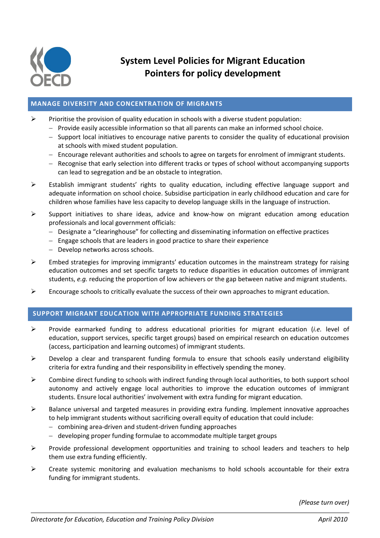

**System Level Policies for Migrant Education Pointers for policy development**

## **MANAGE DIVERSITY AND CONCENTRATION OF MIGRANTS**

- $\triangleright$  Prioritise the provision of quality education in schools with a diverse student population:
	- $P$  Provide easily accessible information so that all parents can make an informed school choice.
	- $-$  Support local initiatives to encourage native parents to consider the quality of educational provision at schools with mixed student population.
	- Encourage relevant authorities and schools to agree on targets for enrolment of immigrant students.
	- Recognise that early selection into different tracks or types of school without accompanying supports can lead to segregation and be an obstacle to integration.
- Establish immigrant students' rights to quality education, including effective language support and adequate information on school choice. Subsidise participation in early childhood education and care for children whose families have less capacity to develop language skills in the language of instruction.
- Support initiatives to share ideas, advice and know-how on migrant education among education professionals and local government officials:
	- Designate a "clearinghouse" for collecting and disseminating information on effective practices
	- $-$  Engage schools that are leaders in good practice to share their experience
	- Develop networks across schools.
- $\triangleright$  Embed strategies for improving immigrants' education outcomes in the mainstream strategy for raising education outcomes and set specific targets to reduce disparities in education outcomes of immigrant students, *e.g.* reducing the proportion of low achievers or the gap between native and migrant students.
- $\triangleright$  Encourage schools to critically evaluate the success of their own approaches to migrant education.

## **SUPPORT MIGRANT EDUCATION WITH APPROPRIATE FUNDING STRATEGIES**

- Provide earmarked funding to address educational priorities for migrant education (*i.e.* level of education, support services, specific target groups) based on empirical research on education outcomes (access, participation and learning outcomes) of immigrant students.
- $\triangleright$  Develop a clear and transparent funding formula to ensure that schools easily understand eligibility criteria for extra funding and their responsibility in effectively spending the money.
- $\triangleright$  Combine direct funding to schools with indirect funding through local authorities, to both support school autonomy and actively engage local authorities to improve the education outcomes of immigrant students. Ensure local authorities' involvement with extra funding for migrant education.
- $\triangleright$  Balance universal and targeted measures in providing extra funding. Implement innovative approaches to help immigrant students without sacrificing overall equity of education that could include:
	- combining area-driven and student-driven funding approaches
	- developing proper funding formulae to accommodate multiple target groups
- $\triangleright$  Provide professional development opportunities and training to school leaders and teachers to help them use extra funding efficiently.
- $\triangleright$  Create systemic monitoring and evaluation mechanisms to hold schools accountable for their extra funding for immigrant students.

*(Please turn over)*